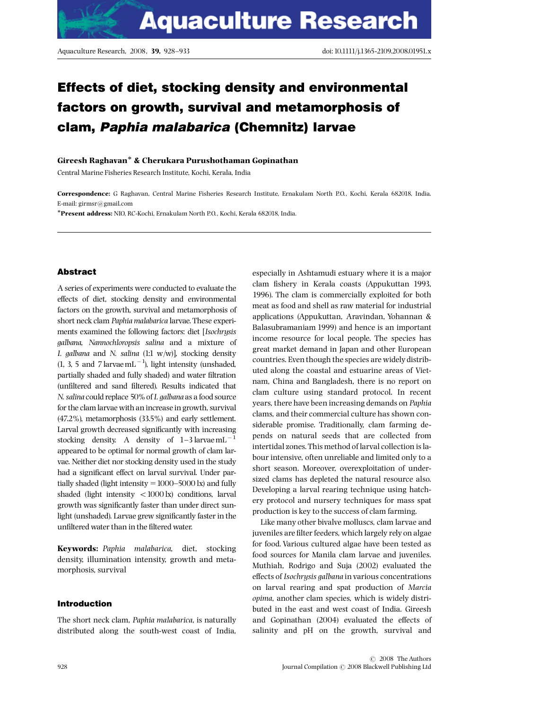# Effects of diet, stocking density and environmental factors on growth, survival and metamorphosis of clam, Paphia malabarica (Chemnitz) larvae

# Gireesh Raghavan & Cherukara Purushothaman Gopinathan

Central Marine Fisheries Research Institute, Kochi, Kerala, India

Correspondence: G Raghavan, Central Marine Fisheries Research Institute, Ernakulam North P.O., Kochi, Kerala 682018, India. E-mail: girmsr@gmail.com

\*Present address: NIO, RC-Kochi, Ernakulam North P.O., Kochi, Kerala 682018, India.

# Abstract

A series of experiments were conducted to evaluate the effects of diet, stocking density and environmental factors on the growth, survival and metamorphosis of short neck clam Paphia malabarica larvae. These experiments examined the following factors: diet [Isochrysis galbana, Nannochloropsis salina and a mixture of I. galbana and N. salina  $(1:1 \t w/w)$ ], stocking density  $(1, 3, 5 \text{ and } 7 \text{ larvae} \text{ mL}^{-1})$ , light intensity (unshaded, partially shaded and fully shaded) and water filtration (unfiltered and sand filtered). Results indicated that N. salina could replace 50% of I. galbana as a food source for the clam larvae with an increase in growth, survival (47.2%), metamorphosis (33.5%) and early settlement. Larval growth decreased significantly with increasing stocking density. A density of  $1-3$  larvae mL  $^{-1}$ appeared to be optimal for normal growth of clam larvae. Neither diet nor stocking density used in the study had a significant effect on larval survival. Under partially shaded (light intensity  $=1000-5000$  lx) and fully shaded (light intensity  $<$  1000 lx) conditions, larval growth was significantly faster than under direct sunlight (unshaded). Larvae grew significantly faster in the unfiltered water than in the filtered water.

Keywords: Paphia malabarica, diet, stocking density, illumination intensity, growth and metamorphosis, survival

# Introduction

The short neck clam, Paphia malabarica, is naturally distributed along the south-west coast of India, especially in Ashtamudi estuary where it is a major clam fishery in Kerala coasts (Appukuttan 1993, 1996). The clam is commercially exploited for both meat as food and shell as raw material for industrial applications (Appukuttan, Aravindan, Yohannan & Balasubramaniam 1999) and hence is an important income resource for local people. The species has great market demand in Japan and other European countries. Even though the species are widely distributed along the coastal and estuarine areas of Vietnam, China and Bangladesh, there is no report on clam culture using standard protocol. In recent years, there have been increasing demands on Paphia clams, and their commercial culture has shown considerable promise. Traditionally, clam farming depends on natural seeds that are collected from intertidal zones. This method of larval collection is labour intensive, often unreliable and limited only to a short season. Moreover, overexploitation of undersized clams has depleted the natural resource also. Developing a larval rearing technique using hatchery protocol and nursery techniques for mass spat production is key to the success of clam farming.

Like many other bivalve molluscs, clam larvae and juveniles are filter feeders, which largely rely on algae for food. Various cultured algae have been tested as food sources for Manila clam larvae and juveniles. Muthiah, Rodrigo and Suja (2002) evaluated the effects of Isochrysis galbana in various concentrations on larval rearing and spat production of Marcia opima, another clam species, which is widely distributed in the east and west coast of India. Gireesh and Gopinathan  $(2004)$  evaluated the effects of salinity and pH on the growth, survival and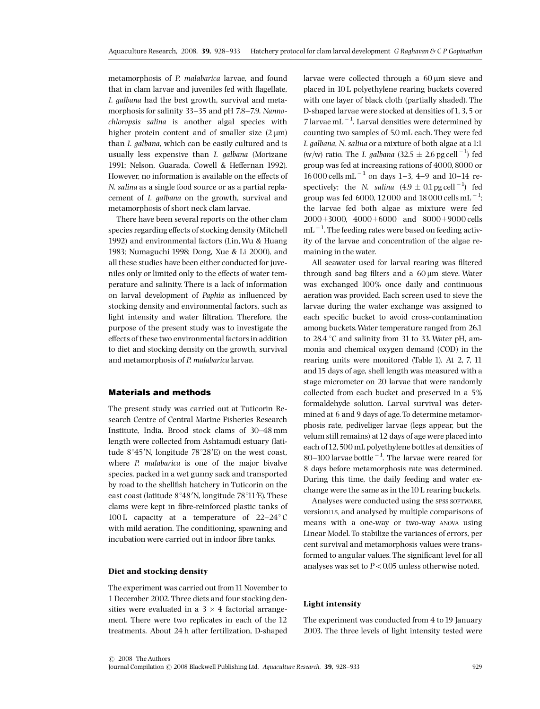metamorphosis of P. malabarica larvae, and found that in clam larvae and juveniles fed with flagellate, I. galbana had the best growth, survival and metamorphosis for salinity 33-35 and pH 7.8-7.9. Nannochloropsis salina is another algal species with higher protein content and of smaller size  $(2 \text{ }\mu\text{m})$ than I. galbana, which can be easily cultured and is usually less expensive than I. galbana (Morizane 1991; Nelson, Guarada, Cowell & Heffernan 1992). However, no information is available on the effects of N. salina as a single food source or as a partial replacement of I. galbana on the growth, survival and metamorphosis of short neck clam larvae.

There have been several reports on the other clam species regarding effects of stocking density (Mitchell 1992) and environmental factors (Lin,Wu & Huang 1983; Numaguchi 1998; Dong, Xue & Li 2000), and all these studies have been either conducted for juveniles only or limited only to the effects of water temperature and salinity. There is a lack of information on larval development of Paphia as influenced by stocking density and environmental factors, such as light intensity and water filtration. Therefore, the purpose of the present study was to investigate the effects of these two environmental factors in addition to diet and stocking density on the growth, survival and metamorphosis of P. malabarica larvae.

# Materials and methods

The present study was carried out at Tuticorin Research Centre of Central Marine Fisheries Research Institute, India. Brood stock clams of 30^48 mm length were collected from Ashtamudi estuary (latitude  $8^{\circ}45'$ N, longitude  $78^{\circ}28'$ E) on the west coast, where P. malabarica is one of the major bivalve species, packed in a wet gunny sack and transported by road to the shellfish hatchery in Tuticorin on the east coast (latitude 8°48'N, longitude 78°11'E). These clams were kept in fibre-reinforced plastic tanks of 100 L capacity at a temperature of  $22-24$  C with mild aeration. The conditioning, spawning and incubation were carried out in indoor fibre tanks.

### Diet and stocking density

The experiment was carried out from 11 November to 1 December 2002. Three diets and four stocking densities were evaluated in a  $3 \times 4$  factorial arrangement. There were two replicates in each of the 12 treatments. About 24 h after fertilization, D-shaped larvae were collected through a  $60 \mu m$  sieve and placed in 10 L polyethylene rearing buckets covered with one layer of black cloth (partially shaded). The D-shaped larvae were stocked at densities of 1, 3, 5 or 7 larvae mL $^{-1}$ . Larval densities were determined by counting two samples of 5.0 mL each. They were fed I. galbana, N. salina or a mixture of both algae at a 1:1 (w/w) ratio. The *I. galbana* (32.5  $\pm$  2.6 pg cell<sup>-1</sup>) fed group was fed at increasing rations of 4000, 8000 or  $16000$  cells mL<sup>-1</sup> on days 1-3, 4-9 and 10-14 respectively; the *N.* salina  $(4.9 \pm 0.1 \,\text{pg} \,\text{cell}^{-1})$  fed group was fed 6000, 12 000 and 18 000 cells mL<sup>-1</sup>; the larvae fed both algae as mixture were fed  $2000+3000$ ,  $4000+6000$  and  $8000+9000$  cells  $mL^{-1}$ . The feeding rates were based on feeding activity of the larvae and concentration of the algae remaining in the water.

All seawater used for larval rearing was filtered through sand bag filters and a  $60 \mu m$  sieve. Water was exchanged 100% once daily and continuous aeration was provided. Each screen used to sieve the larvae during the water exchange was assigned to each specific bucket to avoid cross-contamination among buckets.Water temperature ranged from 26.1 to 28.4  $\degree$ C and salinity from 31 to 33. Water pH, ammonia and chemical oxygen demand (COD) in the rearing units were monitored (Table 1). At 2, 7, 11 and 15 days of age, shell length was measured with a stage micrometer on 20 larvae that were randomly collected from each bucket and preserved in a 5% formaldehyde solution. Larval survival was determined at 6 and 9 days of age. To determine metamorphosis rate, pediveliger larvae (legs appear, but the velum still remains) at12 days of age were placed into each of12,500 mL polyethylene bottles at densities of 80–100 larvae bottle<sup> $-1$ </sup>. The larvae were reared for 8 days before metamorphosis rate was determined. During this time, the daily feeding and water exchange were the same as in the10 L rearing buckets.

Analyses were conducted using the SPSS SOFTWARE, version11.5, and analysed by multiple comparisons of means with a one-way or two-way ANOVA using Linear Model. To stabilize the variances of errors, per cent survival and metamorphosis values were transformed to angular values. The significant level for all analyses was set to  $P < 0.05$  unless otherwise noted.

## Light intensity

The experiment was conducted from 4 to 19 January 2003. The three levels of light intensity tested were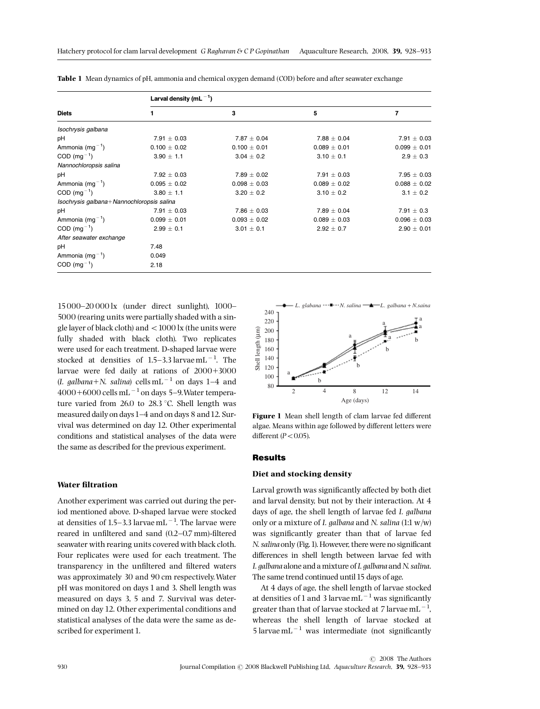| <b>Diets</b>                              | Larval density (mL $^{-1}$ ) |                  |                  |                  |  |  |
|-------------------------------------------|------------------------------|------------------|------------------|------------------|--|--|
|                                           | 1                            | 3                | 5                | 7                |  |  |
| Isochrysis galbana                        |                              |                  |                  |                  |  |  |
| рH                                        | $7.91 \pm 0.03$              | $7.87 \pm 0.04$  | $7.88 \pm 0.04$  | $7.91 \pm 0.03$  |  |  |
| Ammonia $(mg^{-1})$                       | $0.100 \pm 0.02$             | $0.100 \pm 0.01$ | $0.089 \pm 0.01$ | $0.099 \pm 0.01$ |  |  |
| $COD (mg-1)$                              | $3.90 \pm 1.1$               | $3.04 \pm 0.2$   | $3.10 \pm 0.1$   | $2.9 \pm 0.3$    |  |  |
| Nannochloropsis salina                    |                              |                  |                  |                  |  |  |
| рH                                        | $7.92 \pm 0.03$              | $7.89 \pm 0.02$  | $7.91 \pm 0.03$  | $7.95 \pm 0.03$  |  |  |
| Ammonia $(mg^{-1})$                       | $0.095 \pm 0.02$             | $0.098 \pm 0.03$ | $0.089 \pm 0.02$ | $0.088 \pm 0.02$ |  |  |
| $COD$ (mg <sup>-1</sup> )                 | $3.80 \pm 1.1$               | $3.20 \pm 0.2$   | $3.10 \pm 0.2$   | $3.1 \pm 0.2$    |  |  |
| Isochrysis galbana+Nannochloropsis salina |                              |                  |                  |                  |  |  |
| рH                                        | $7.91 \pm 0.03$              | $7.86 \pm 0.03$  | $7.89 \pm 0.04$  | $7.91 \pm 0.3$   |  |  |
| Ammonia $(mg^{-1})$                       | $0.099 \pm 0.01$             | $0.093 \pm 0.02$ | $0.089 \pm 0.03$ | $0.096 \pm 0.03$ |  |  |
| $COD$ (mg <sup>-1</sup> )                 | $2.99 \pm 0.1$               | $3.01 \pm 0.1$   | $2.92 \pm 0.7$   | $2.90 \pm 0.01$  |  |  |
| After seawater exchange                   |                              |                  |                  |                  |  |  |
| pH                                        | 7.48                         |                  |                  |                  |  |  |
| Ammonia $(mg^{-1})$                       | 0.049                        |                  |                  |                  |  |  |
| $COD (mg^{-1})$                           | 2.18                         |                  |                  |                  |  |  |

Table 1 Mean dynamics of pH, ammonia and chemical oxygen demand (COD) before and after seawater exchange

15000-20 000 lx (under direct sunlight), 1000-5000 (rearing units were partially shaded with a single layer of black cloth) and  $< 1000$  lx (the units were fully shaded with black cloth). Two replicates were used for each treatment. D-shaped larvae were stocked at densities of  $1.5-3.3$  larvae mL $^{-1}$ . The larvae were fed daily at rations of  $2000+3000$ (I. galbana+N. salina) cells mL<sup>-1</sup> on days 1-4 and  $4000+6000$  cells mL<sup> $-1$ </sup> on days 5-9. Water temperature varied from 26.0 to 28.3  $\degree$ C. Shell length was measured daily on days1^4 and on days 8 and12. Survival was determined on day 12. Other experimental conditions and statistical analyses of the data were the same as described for the previous experiment.

## Water filtration

Another experiment was carried out during the period mentioned above. D-shaped larvae were stocked at densities of 1.5–3.3 larvae mL $^{-1}$ . The larvae were reared in unfiltered and sand  $(0.2-0.7 \text{ mm})$ -filtered seawater with rearing units covered with black cloth. Four replicates were used for each treatment. The transparency in the unfiltered and filtered waters was approximately 30 and 90 cm respectively.Water pH was monitored on days 1 and 3. Shell length was measured on days 3, 5 and 7. Survival was determined on day 12. Other experimental conditions and statistical analyses of the data were the same as described for experiment 1.



Figure 1 Mean shell length of clam larvae fed different algae. Means within age followed by different letters were different ( $P < 0.05$ ).

#### Results

## Diet and stocking density

Larval growth was significantly affected by both diet and larval density, but not by their interaction. At 4 days of age, the shell length of larvae fed I. galbana only or a mixture of I. galbana and N. salina  $(1:1 \text{ w/w})$ was significantly greater than that of larvae fed N. salina only (Fig. 1). However, there were no significant differences in shell length between larvae fed with I. galbana alone and a mixture of I. galbana and N. salina. The same trend continued until 15 days of age.

At 4 days of age, the shell length of larvae stocked at densities of 1 and 3 larvae  $mL^{-1}$  was significantly greater than that of larvae stocked at 7 larvae  $mL^{-1}$ , whereas the shell length of larvae stocked at 5 larvae mL $^{-1}$  was intermediate (not significantly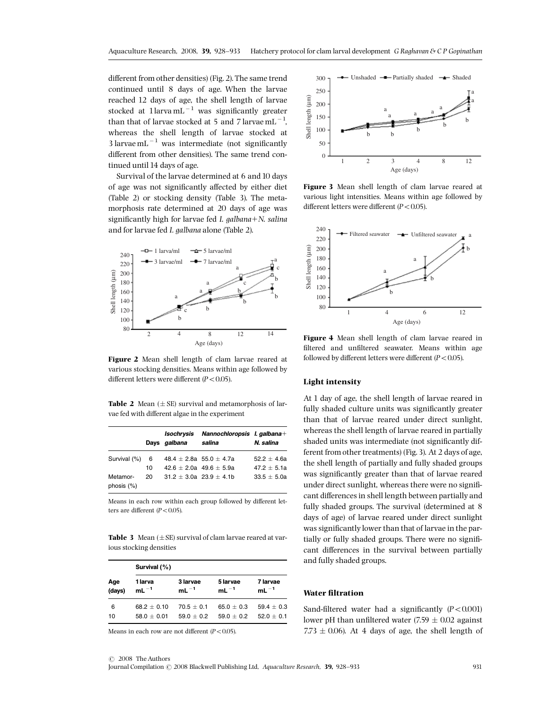different from other densities) (Fig. 2). The same trend continued until 8 days of age. When the larvae reached 12 days of age, the shell length of larvae stocked at  $1$ larva mL $^{-1}$  was significantly greater than that of larvae stocked at 5 and 7 larvae  $\text{mL}^{-1}$ , whereas the shell length of larvae stocked at 3 larvae mL $^{-1}$  was intermediate (not significantly different from other densities). The same trend continued until 14 days of age.

Survival of the larvae determined at 6 and 10 days of age was not significantly affected by either diet (Table 2) or stocking density (Table 3). The metamorphosis rate determined at 20 days of age was significantly high for larvae fed I. galbana $+N$ . salina and for larvae fed I. galbana alone (Table 2).



Figure 2 Mean shell length of clam larvae reared at various stocking densities. Means within age followed by different letters were different  $(P<0.05)$ .

**Table 2** Mean  $(\pm SE)$  survival and metamorphosis of larvae fed with different algae in the experiment

|                           |    | Isochrysis<br>Days galbana  | Nannochloropsis I. galbana+<br>salina | N. salina     |
|---------------------------|----|-----------------------------|---------------------------------------|---------------|
| Survival (%)              | 6  |                             | 48.4 $\pm$ 2.8a 55.0 $\pm$ 4.7a       | $52.2 + 4.6a$ |
|                           | 10 | $42.6 + 2.0a$ $49.6 + 5.9a$ |                                       | $47.2 + 5.1a$ |
| Metamor-<br>phosis $(\%)$ | 20 | $31.2 + 3.0a$ 23.9 + 4.1b   |                                       | $33.5 + 5.0a$ |

Means in each row within each group followed by different letters are different  $(P<0.05)$ .

Table 3 Mean  $(\pm S$ E) survival of clam larvae reared at various stocking densities

| Age<br>(days) | Survival (%)         |                       |                       |                       |  |  |
|---------------|----------------------|-----------------------|-----------------------|-----------------------|--|--|
|               | 1 larva<br>$mL^{-1}$ | 3 larvae<br>$mL^{-1}$ | 5 larvae<br>$mL^{-1}$ | 7 larvae<br>$mL^{-1}$ |  |  |
| 6             | $68.2 + 0.10$        | $70.5 + 0.1$          | $65.0 + 0.3$          | $59.4 \pm 0.3$        |  |  |
| 10            | $58.0 + 0.01$        | $59.0 + 0.2$          | $59.0 + 0.2$          | $52.0 + 0.1$          |  |  |

Means in each row are not different  $(P<0.05)$ .



Figure 3 Mean shell length of clam larvae reared at various light intensities. Means within age followed by different letters were different  $(P<0.05)$ .



Figure 4 Mean shell length of clam larvae reared in filtered and unfiltered seawater. Means within age followed by different letters were different ( $P < 0.05$ ).

## Light intensity

At 1 day of age, the shell length of larvae reared in fully shaded culture units was significantly greater than that of larvae reared under direct sunlight, whereas the shell length of larvae reared in partially shaded units was intermediate (not significantly different from other treatments) (Fig.3). At 2 days of age, the shell length of partially and fully shaded groups was significantly greater than that of larvae reared under direct sunlight, whereas there were no significant differences in shell length between partially and fully shaded groups. The survival (determined at 8 days of age) of larvae reared under direct sunlight was significantly lower than that of larvae in the partially or fully shaded groups. There were no significant differences in the survival between partially and fully shaded groups.

#### Water filtration

Sand-filtered water had a significantly  $(P<0.001)$ lower pH than unfiltered water (7.59  $\pm$  0.02 against 7.73  $\pm$  0.06). At 4 days of age, the shell length of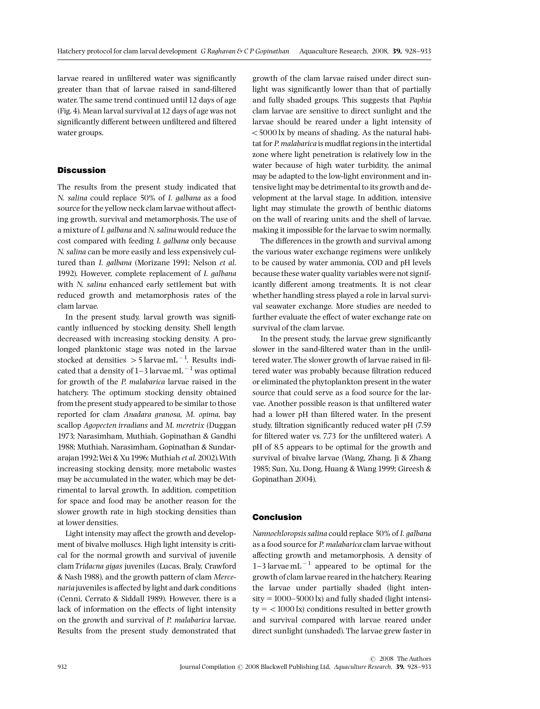larvae reared in unfiltered water was significantly greater than that of larvae raised in sand-filtered water. The same trend continued until 12 days of age (Fig.4). Mean larval survival at12 days of age was not significantly different between unfiltered and filtered water groups.

# **Discussion**

The results from the present study indicated that N. salina could replace 50% of I. galbana as a food source for the yellow neck clam larvae without affecting growth, survival and metamorphosis. The use of a mixture of I. galbana and N. salinawould reduce the cost compared with feeding I. galbana only because N. salina can be more easily and less expensively cultured than I. galbana (Morizane 1991; Nelson et al. 1992). However, complete replacement of I. galbana with N. salina enhanced early settlement but with reduced growth and metamorphosis rates of the clam larvae.

In the present study, larval growth was significantly influenced by stocking density. Shell length decreased with increasing stocking density. A prolonged planktonic stage was noted in the larvae stocked at densities  $>5$  larvae mL $^{-1}$ . Results indicated that a density of 1-3 larvae mL $^{-1}$  was optimal for growth of the P. malabarica larvae raised in the hatchery. The optimum stocking density obtained from the present study appeared to be similar to those reported for clam Anadara granosa, M. opima, bay scallop Agopecten irradians and M. meretrix (Duggan 1973; Narasimham, Muthiah, Gopinathan & Gandhi 1988; Muthiah, Narasimham, Gopinathan & Sundararajan1992;Wei & Xu1996; Muthiah et al. 2002).With increasing stocking density, more metabolic wastes may be accumulated in the water, which may be detrimental to larval growth. In addition, competition for space and food may be another reason for the slower growth rate in high stocking densities than at lower densities.

Light intensity may affect the growth and development of bivalve molluscs. High light intensity is critical for the normal growth and survival of juvenile clam Tridacna gigas juveniles (Lucas, Braly, Crawford & Nash 1988), and the growth pattern of clam Mercenaria juveniles is affected by light and dark conditions (Cenni, Cerrato & Siddall 1989). However, there is a lack of information on the effects of light intensity on the growth and survival of P. malabarica larvae. Results from the present study demonstrated that growth of the clam larvae raised under direct sunlight was significantly lower than that of partially and fully shaded groups. This suggests that Paphia clam larvae are sensitive to direct sunlight and the larvae should be reared under a light intensity of  $<$  5000 lx by means of shading. As the natural habitat for P. malabarica is mudflat regions in the intertidal zone where light penetration is relatively low in the water because of high water turbidity, the animal may be adapted to the low-light environment and intensive light may be detrimental to its growth and development at the larval stage. In addition, intensive light may stimulate the growth of benthic diatoms on the wall of rearing units and the shell of larvae, making it impossible for the larvae to swim normally.

The differences in the growth and survival among the various water exchange regimens were unlikely to be caused by water ammonia, COD and pH levels because these water quality variables were not significantly different among treatments. It is not clear whether handling stress played a role in larval survival seawater exchange. More studies are needed to further evaluate the effect of water exchange rate on survival of the clam larvae.

In the present study, the larvae grew significantly slower in the sand-filtered water than in the unfiltered water. The slower growth of larvae raised in filtered water was probably because filtration reduced or eliminated the phytoplankton present in the water source that could serve as a food source for the larvae. Another possible reason is that unfiltered water had a lower pH than filtered water. In the present study, filtration significantly reduced water pH (7.59) for filtered water vs. 7.73 for the unfiltered water). A pH of 8.5 appears to be optimal for the growth and survival of bivalve larvae (Wang, Zhang, Ji & Zhang 1985; Sun, Xu, Dong, Huang & Wang 1999; Gireesh & Gopinathan 2004).

## Conclusion

Nannochloropsis salina could replace 50% of I. galbana as a food source for P. malabarica clam larvae without affecting growth and metamorphosis. A density of 1-3 larvae mL $^{-1}$  appeared to be optimal for the growth of clam larvae reared in the hatchery. Rearing the larvae under partially shaded (light inten $sity = 1000-5000$  lx) and fully shaded (light intensi $ty = <1000 \text{ kg}$  conditions resulted in better growth and survival compared with larvae reared under direct sunlight (unshaded). The larvae grew faster in